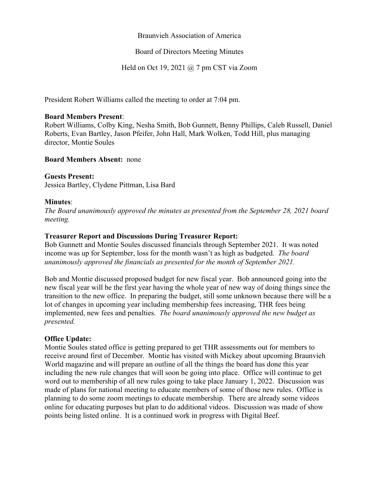## Braunvieh Association of America

# Board of Directors Meeting Minutes

# Held on Oct 19, 2021 @ 7 pm CST via Zoom

President Robert Williams called the meeting to order at 7:04 pm.

### **Board Members Present**:

Robert Williams, Colby King, Nesha Smith, Bob Gunnett, Benny Phillips, Caleb Russell, Daniel Roberts, Evan Bartley, Jason Pfeifer, John Hall, Mark Wolken, Todd Hill, plus managing director, Montie Soules

#### **Board Members Absent:** none

## **Guests Present:**

Jessica Bartley, Clydene Pittman, Lisa Bard

## **Minutes**:

*The Board unanimously approved the minutes as presented from the September 28, 2021 board meeting.*

# **Treasurer Report and Discussions During Treasurer Report:**

Bob Gunnett and Montie Soules discussed financials through September 2021. It was noted income was up for September, loss for the month wasn't as high as budgeted. *The board unanimously approved the financials as presented for the month of September 2021.* 

Bob and Montie discussed proposed budget for new fiscal year. Bob announced going into the new fiscal year will be the first year having the whole year of new way of doing things since the transition to the new office. In preparing the budget, still some unknown because there will be a lot of changes in upcoming year including membership fees increasing, THR fees being implemented, new fees and penalties. *The board unanimously approved the new budget as presented.* 

## **Office Update:**

Montie Soules stated office is getting prepared to get THR assessments out for members to receive around first of December. Montie has visited with Mickey about upcoming Braunvieh World magazine and will prepare an outline of all the things the board has done this year including the new rule changes that will soon be going into place. Office will continue to get word out to membership of all new rules going to take place January 1, 2022. Discussion was made of plans for national meeting to educate members of some of those new rules. Office is planning to do some zoom meetings to educate membership. There are already some videos online for educating purposes but plan to do additional videos. Discussion was made of show points being listed online. It is a continued work in progress with Digital Beef.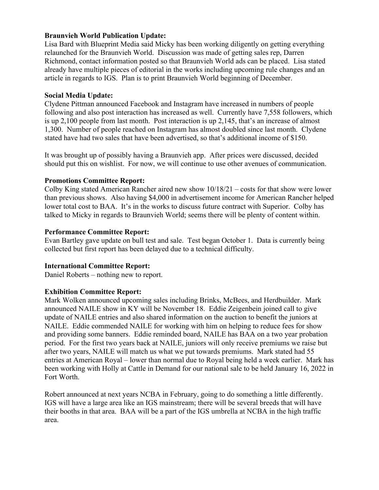# **Braunvieh World Publication Update:**

Lisa Bard with Blueprint Media said Micky has been working diligently on getting everything relaunched for the Braunvieh World. Discussion was made of getting sales rep, Darren Richmond, contact information posted so that Braunvieh World ads can be placed. Lisa stated already have multiple pieces of editorial in the works including upcoming rule changes and an article in regards to IGS. Plan is to print Braunvieh World beginning of December.

## **Social Media Update:**

Clydene Pittman announced Facebook and Instagram have increased in numbers of people following and also post interaction has increased as well. Currently have 7,558 followers, which is up 2,100 people from last month. Post interaction is up 2,145, that's an increase of almost 1,300. Number of people reached on Instagram has almost doubled since last month. Clydene stated have had two sales that have been advertised, so that's additional income of \$150.

It was brought up of possibly having a Braunvieh app. After prices were discussed, decided should put this on wishlist. For now, we will continue to use other avenues of communication.

# **Promotions Committee Report:**

Colby King stated American Rancher aired new show 10/18/21 – costs for that show were lower than previous shows. Also having \$4,000 in advertisement income for American Rancher helped lower total cost to BAA. It's in the works to discuss future contract with Superior. Colby has talked to Micky in regards to Braunvieh World; seems there will be plenty of content within.

# **Performance Committee Report:**

Evan Bartley gave update on bull test and sale. Test began October 1. Data is currently being collected but first report has been delayed due to a technical difficulty.

## **International Committee Report:**

Daniel Roberts – nothing new to report.

## **Exhibition Committee Report:**

Mark Wolken announced upcoming sales including Brinks, McBees, and Herdbuilder. Mark announced NAILE show in KY will be November 18. Eddie Zeigenbein joined call to give update of NAILE entries and also shared information on the auction to benefit the juniors at NAILE. Eddie commended NAILE for working with him on helping to reduce fees for show and providing some banners. Eddie reminded board, NAILE has BAA on a two year probation period. For the first two years back at NAILE, juniors will only receive premiums we raise but after two years, NAILE will match us what we put towards premiums. Mark stated had 55 entries at American Royal – lower than normal due to Royal being held a week earlier. Mark has been working with Holly at Cattle in Demand for our national sale to be held January 16, 2022 in Fort Worth.

Robert announced at next years NCBA in February, going to do something a little differently. IGS will have a large area like an IGS mainstream; there will be several breeds that will have their booths in that area. BAA will be a part of the IGS umbrella at NCBA in the high traffic area.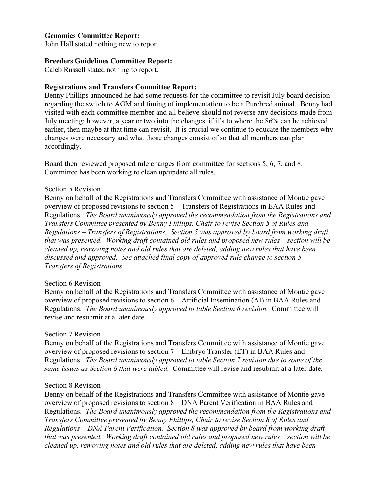## **Genomics Committee Report:**

John Hall stated nothing new to report.

#### **Breeders Guidelines Committee Report:**

Caleb Russell stated nothing to report.

#### **Registrations and Transfers Committee Report:**

Benny Phillips announced he had some requests for the committee to revisit July board decision regarding the switch to AGM and timing of implementation to be a Purebred animal. Benny had visited with each committee member and all believe should not reverse any decisions made from July meeting; however, a year or two into the changes, if it's to where the 86% can be achieved earlier, then maybe at that time can revisit. It is crucial we continue to educate the members why changes were necessary and what those changes consist of so that all members can plan accordingly.

Board then reviewed proposed rule changes from committee for sections 5, 6, 7, and 8. Committee has been working to clean up/update all rules.

#### Section 5 Revision

Benny on behalf of the Registrations and Transfers Committee with assistance of Montie gave overview of proposed revisions to section 5 – Transfers of Registrations in BAA Rules and Regulations. *The Board unanimously approved the recommendation from the Registrations and Transfers Committee presented by Benny Phillips, Chair to revise Section 5 of Rules and Regulations – Transfers of Registrations. Section 5 was approved by board from working draft that was presented. Working draft contained old rules and proposed new rules – section will be cleaned up, removing notes and old rules that are deleted, adding new rules that have been discussed and approved. See attached final copy of approved rule change to section 5– Transfers of Registrations.*

#### Section 6 Revision

Benny on behalf of the Registrations and Transfers Committee with assistance of Montie gave overview of proposed revisions to section 6 – Artificial Insemination (AI) in BAA Rules and Regulations. *The Board unanimously approved to table Section 6 revision.* Committee will revise and resubmit at a later date.

#### Section 7 Revision

Benny on behalf of the Registrations and Transfers Committee with assistance of Montie gave overview of proposed revisions to section 7 – Embryo Transfer (ET) in BAA Rules and Regulations. *The Board unanimously approved to table Section 7 revision due to some of the same issues as Section 6 that were tabled.* Committee will revise and resubmit at a later date.

## Section 8 Revision

Benny on behalf of the Registrations and Transfers Committee with assistance of Montie gave overview of proposed revisions to section 8 – DNA Parent Verification in BAA Rules and Regulations. *The Board unanimously approved the recommendation from the Registrations and Transfers Committee presented by Benny Phillips, Chair to revise Section 8 of Rules and Regulations – DNA Parent Verification. Section 8 was approved by board from working draft that was presented. Working draft contained old rules and proposed new rules – section will be cleaned up, removing notes and old rules that are deleted, adding new rules that have been*